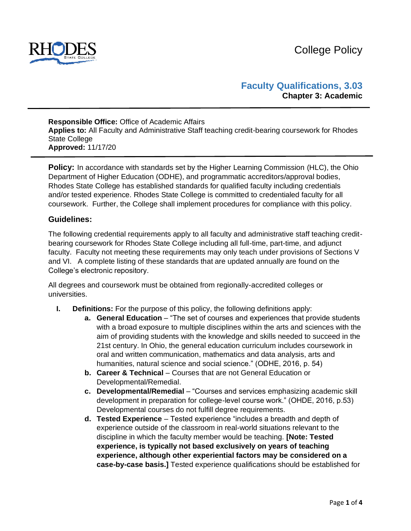

# **Faculty Qualifications, 3.03 Chapter 3: Academic**

#### **Responsible Office:** Office of Academic Affairs **Applies to:** All Faculty and Administrative Staff teaching credit-bearing coursework for Rhodes State College **Approved:** 11/17/20

**Policy:** In accordance with standards set by the Higher Learning Commission (HLC), the Ohio Department of Higher Education (ODHE), and programmatic accreditors/approval bodies, Rhodes State College has established standards for qualified faculty including credentials and/or tested experience. Rhodes State College is committed to credentialed faculty for all coursework. Further, the College shall implement procedures for compliance with this policy.

## **Guidelines:**

The following credential requirements apply to all faculty and administrative staff teaching creditbearing coursework for Rhodes State College including all full-time, part-time, and adjunct faculty. Faculty not meeting these requirements may only teach under provisions of Sections V and VI. A complete listing of these standards that are updated annually are found on the College's electronic repository.

All degrees and coursework must be obtained from regionally-accredited colleges or universities.

- **I. Definitions:** For the purpose of this policy, the following definitions apply:
	- **a. General Education** "The set of courses and experiences that provide students with a broad exposure to multiple disciplines within the arts and sciences with the aim of providing students with the knowledge and skills needed to succeed in the 21st century. In Ohio, the general education curriculum includes coursework in oral and written communication, mathematics and data analysis, arts and humanities, natural science and social science." (ODHE, 2016, p. 54)
	- **b.** Career & Technical Courses that are not General Education or Developmental/Remedial.
	- **c. Developmental/Remedial** "Courses and services emphasizing academic skill development in preparation for college-level course work." (OHDE, 2016, p.53) Developmental courses do not fulfill degree requirements.
	- **d. Tested Experience**  Tested experience "includes a breadth and depth of experience outside of the classroom in real-world situations relevant to the discipline in which the faculty member would be teaching. **[Note: Tested experience, is typically not based exclusively on years of teaching experience, although other experiential factors may be considered on a case-by-case basis.]** Tested experience qualifications should be established for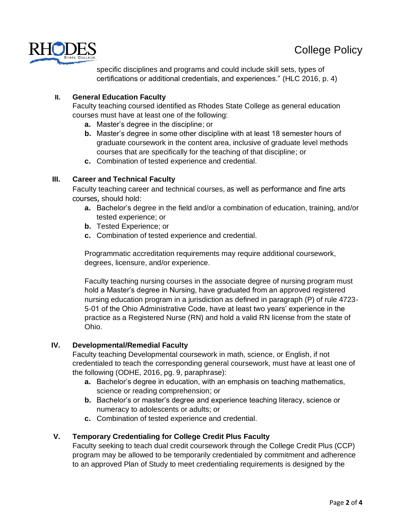

specific disciplines and programs and could include skill sets, types of certifications or additional credentials, and experiences." (HLC 2016, p. 4)

## **II. General Education Faculty**

Faculty teaching coursed identified as Rhodes State College as general education courses must have at least one of the following:

- **a.** Master's degree in the discipline; or
- **b.** Master's degree in some other discipline with at least 18 semester hours of graduate coursework in the content area, inclusive of graduate level methods courses that are specifically for the teaching of that discipline; or
- **c.** Combination of tested experience and credential.

## **III. Career and Technical Faculty**

Faculty teaching career and technical courses, as well as performance and fine arts courses, should hold:

- **a.** Bachelor's degree in the field and/or a combination of education, training, and/or tested experience; or
- **b.** Tested Experience; or
- **c.** Combination of tested experience and credential.

Programmatic accreditation requirements may require additional coursework, degrees, licensure, and/or experience.

Faculty teaching nursing courses in the associate degree of nursing program must hold a Master's degree in Nursing, have graduated from an approved registered nursing education program in a jurisdiction as defined in paragraph (P) of rule 4723- 5-01 of the Ohio Administrative Code, have at least two years' experience in the practice as a Registered Nurse (RN) and hold a valid RN license from the state of Ohio.

### **IV. Developmental/Remedial Faculty**

Faculty teaching Developmental coursework in math, science, or English, if not credentialed to teach the corresponding general coursework, must have at least one of the following (ODHE, 2016, pg. 9, paraphrase):

- **a.** Bachelor's degree in education, with an emphasis on teaching mathematics, science or reading comprehension; or
- **b.** Bachelor's or master's degree and experience teaching literacy, science or numeracy to adolescents or adults; or
- **c.** Combination of tested experience and credential.

## **V. Temporary Credentialing for College Credit Plus Faculty**

Faculty seeking to teach dual credit coursework through the College Credit Plus (CCP) program may be allowed to be temporarily credentialed by commitment and adherence to an approved Plan of Study to meet credentialing requirements is designed by the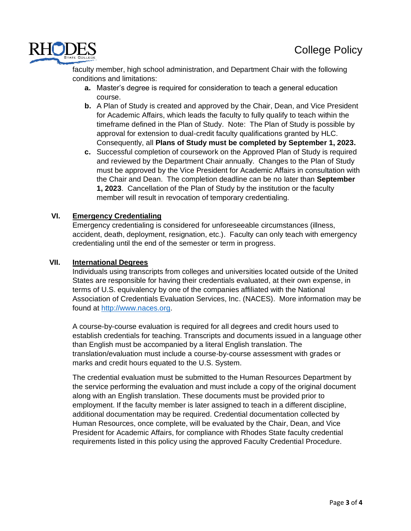

faculty member, high school administration, and Department Chair with the following conditions and limitations:

- **a.** Master's degree is required for consideration to teach a general education course.
- **b.** A Plan of Study is created and approved by the Chair, Dean, and Vice President for Academic Affairs, which leads the faculty to fully qualify to teach within the timeframe defined in the Plan of Study. Note: The Plan of Study is possible by approval for extension to dual-credit faculty qualifications granted by HLC. Consequently, all **Plans of Study must be completed by September 1, 2023.**
- **c.** Successful completion of coursework on the Approved Plan of Study is required and reviewed by the Department Chair annually. Changes to the Plan of Study must be approved by the Vice President for Academic Affairs in consultation with the Chair and Dean. The completion deadline can be no later than **September 1, 2023**. Cancellation of the Plan of Study by the institution or the faculty member will result in revocation of temporary credentialing.

### **VI. Emergency Credentialing**

Emergency credentialing is considered for unforeseeable circumstances (illness, accident, death, deployment, resignation, etc.). Faculty can only teach with emergency credentialing until the end of the semester or term in progress.

### **VII. International Degrees**

Individuals using transcripts from colleges and universities located outside of the United States are responsible for having their credentials evaluated, at their own expense, in terms of U.S. equivalency by one of the companies affiliated with the National Association of Credentials Evaluation Services, Inc. (NACES). More information may be found at [http://www.naces.org.](http://www.naces.org/)

A course-by-course evaluation is required for all degrees and credit hours used to establish credentials for teaching. Transcripts and documents issued in a language other than English must be accompanied by a literal English translation. The translation/evaluation must include a course-by-course assessment with grades or marks and credit hours equated to the U.S. System.

The credential evaluation must be submitted to the Human Resources Department by the service performing the evaluation and must include a copy of the original document along with an English translation. These documents must be provided prior to employment. If the faculty member is later assigned to teach in a different discipline, additional documentation may be required. Credential documentation collected by Human Resources, once complete, will be evaluated by the Chair, Dean, and Vice President for Academic Affairs, for compliance with Rhodes State faculty credential requirements listed in this policy using the approved Faculty Credential Procedure.